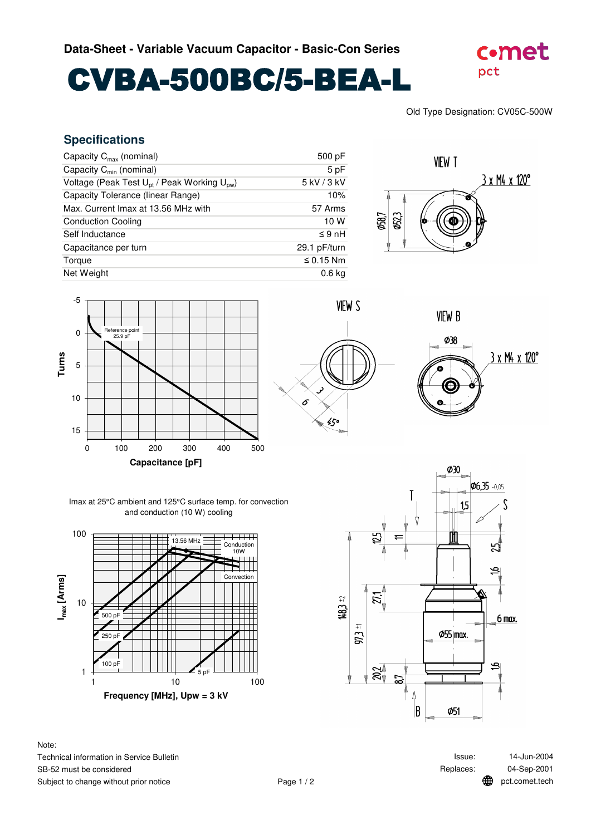## CVBA-500BC/5-BEA-L



Old Type Designation: CV05C-500W

## **Specifications**

| Capacity $C_{\text{max}}$ (nominal)                                 | 500 pF            |
|---------------------------------------------------------------------|-------------------|
| Capacity $C_{min}$ (nominal)                                        | 5 pF              |
| Voltage (Peak Test U <sub>pt</sub> / Peak Working U <sub>pw</sub> ) | 5 kV / 3 kV       |
| Capacity Tolerance (linear Range)                                   | 10%               |
| Max. Current Imax at 13.56 MHz with                                 | 57 Arms           |
| <b>Conduction Cooling</b>                                           | 10 W              |
| Self Inductance                                                     | $\leq 9$ nH       |
| Capacitance per turn                                                | 29.1 pF/turn      |
| Torque                                                              | $\leq$ 0.15 Nm    |
| Net Weight                                                          | 0.6 <sub>kq</sub> |











Imax at 25°C ambient and 125°C surface temp. for convection and conduction (10 W) cooling



Note: Technical information in Service Bulletin SB-52 must be considered Subject to change without prior notice



Replaces: 04-Sep-2001